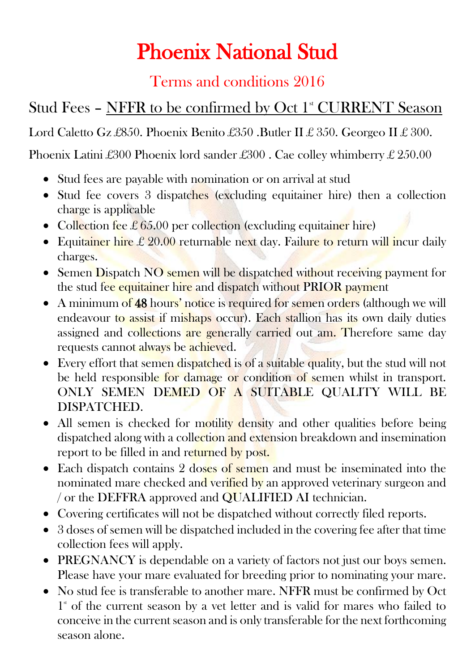## Phoenix National Stud

## Terms and conditions 2016

## Stud Fees - NFFR to be confirmed by Oct 1<sup>st</sup> CURRENT Season

Lord Caletto Gz £850. Phoenix Benito £350. Butler II £ 350. Georgeo II £ 300.

Phoenix Latini £300 Phoenix lord sander £300 . Cae colley whimberry £ 250.00

- Stud fees are payable with nomination or on arrival at stud
- Stud fee covers 3 dispatches (excluding equitainer hire) then a collection charge is applicable
- Collection fee  $\pounds 65.00$  per collection (excluding equitainer hire)
- Equitainer hire £ 20.00 returnable next day. Failure to return will incur daily charges.
- Semen Dispatch NO semen will be dispatched without receiving payment for the stud fee equitainer hire and dispatch without PRIOR payment
- A minimum of 48 hours' notice is required for semen orders (although we will endeavour to assist if mishaps occur). Each stallion has its own daily duties assigned and collections are generally carried out am. Therefore same day requests cannot always be achieved.
- Every effort that semen dispatched is of a suitable quality, but the stud will not be held responsible for damage or condition of semen whilst in transport. ONLY SEMEN DEMED OF A SUITABLE QUALITY WILL BE DISPATCHED.
- All semen is checked for motility density and other qualities before being dispatched along with a collection and extension breakdown and insemination report to be filled in and returned by post.
- Each dispatch contains 2 doses of semen and must be inseminated into the nominated mare checked and verified by an approved veterinary surgeon and / or the DEFFRA approved and QUALIFIED AI technician.
- Covering certificates will not be dispatched without correctly filed reports.
- 3 doses of semen will be dispatched included in the covering fee after that time collection fees will apply.
- PREGNANCY is dependable on a variety of factors not just our boys semen. Please have your mare evaluated for breeding prior to nominating your mare.
- No stud fee is transferable to another mare. NFFR must be confirmed by Oct  $1<sup>*</sup>$  of the current season by a vet letter and is valid for mares who failed to conceive in the current season and is only transferable for the next forthcoming season alone.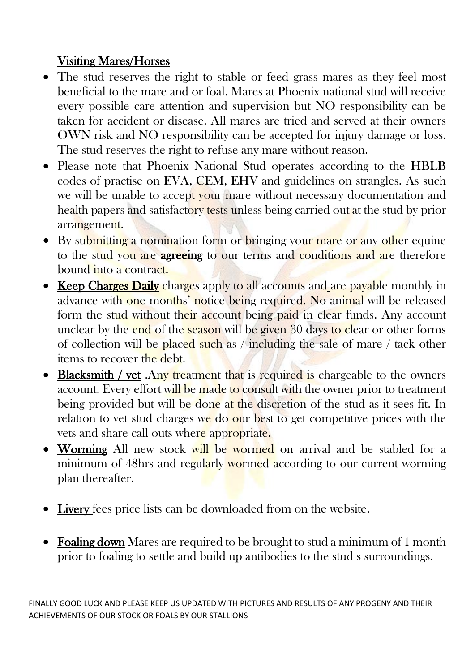## Visiting Mares/Horses

- The stud reserves the right to stable or feed grass mares as they feel most beneficial to the mare and or foal. Mares at Phoenix national stud will receive every possible care attention and supervision but NO responsibility can be taken for accident or disease. All mares are tried and served at their owners OWN risk and NO responsibility can be accepted for injury damage or loss. The stud reserves the right to refuse any mare without reason.
- Please note that Phoenix National Stud operates according to the HBLB codes of practise on EVA, CEM, EHV and guidelines on strangles. As such we will be unable to accept your mare without necessary documentation and health papers and satisfactory tests unless being carried out at the stud by prior arrangement.
- By submitting a nomination form or bringing your mare or any other equine to the stud you are agreeing to our terms and conditions and are therefore bound into a contract.
- Keep Charges Daily charges apply to all accounts and are payable monthly in advance with one months' notice being required. No animal will be released form the stud without their account being paid in clear funds. Any account unclear by the end of the season will be given 30 days to clear or other forms of collection will be placed such as / including the sale of mare / tack other items to recover the debt.
- Blacksmith / vet .Any treatment that is required is chargeable to the owners account. Every effort will be made to consult with the owner prior to treatment being provided but will be done at the discretion of the stud as it sees fit. In relation to vet stud charges we do our best to get competitive prices with the vets and share call outs where appropriate.
- Worming All new stock will be wormed on arrival and be stabled for a minimum of 48hrs and regularly wormed according to our current worming plan thereafter.
- Livery fees price lists can be downloaded from on the website.
- Foaling down Mares are required to be brought to stud a minimum of 1 month prior to foaling to settle and build up antibodies to the stud s surroundings.